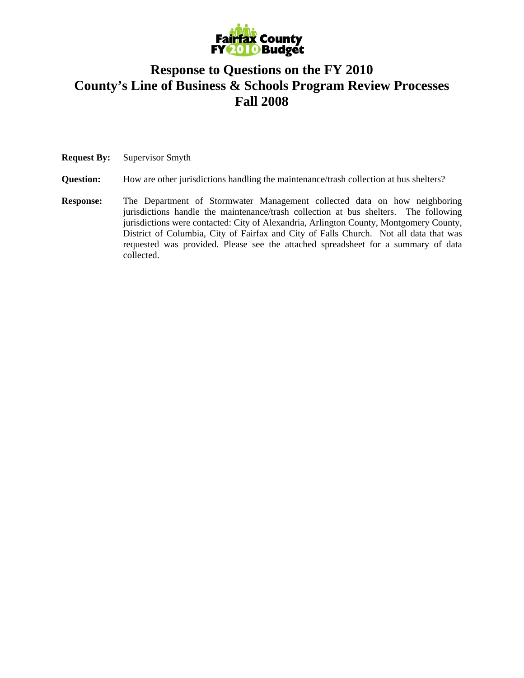

## **Response to Questions on the FY 2010 County's Line of Business & Schools Program Review Processes Fall 2008**

**Request By:** Supervisor Smyth

**Question:** How are other jurisdictions handling the maintenance/trash collection at bus shelters?

**Response:** The Department of Stormwater Management collected data on how neighboring jurisdictions handle the maintenance/trash collection at bus shelters. The following jurisdictions were contacted: City of Alexandria, Arlington County, Montgomery County, District of Columbia, City of Fairfax and City of Falls Church. Not all data that was requested was provided. Please see the attached spreadsheet for a summary of data collected.